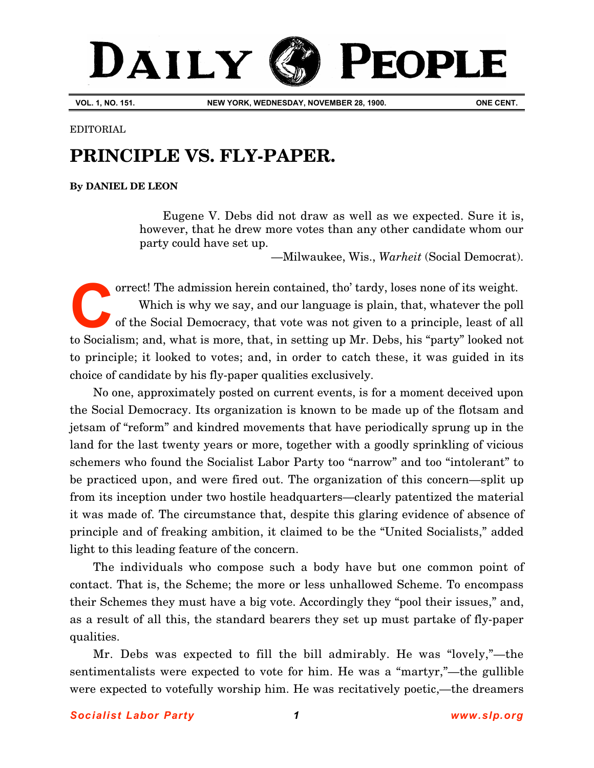# DAILY PEOPLE

**VOL. 1, NO. 151. NEW YORK, WEDNESDAY, NOVEMBER 28, 1900. ONE CENT.**

EDITORIAL

## **PRINCIPLE VS. FLY-PAPER.**

## **By [DANIEL DE LEON](http://www.slp.org/De_Leon.htm)**

Eugene V. Debs did not draw as well as we expected. Sure it is, however, that he drew more votes than any other candidate whom our party could have set up.

—Milwaukee, Wis., *Warheit* (Social Democrat).

orrect! The admission herein contained, tho' tardy, loses none of its weight. Which is why we say, and our language is plain, that, whatever the poll of the Social Democracy, that vote was not given to a principle, least of all to Socialism; and, what is more, that, in setting up Mr. Debs, his "party" looked not to principle; it looked to votes; and, in order to catch these, it was guided in its choice of candidate by his fly-paper qualities exclusively. **C**

No one, approximately posted on current events, is for a moment deceived upon the Social Democracy. Its organization is known to be made up of the flotsam and jetsam of "reform" and kindred movements that have periodically sprung up in the land for the last twenty years or more, together with a goodly sprinkling of vicious schemers who found the Socialist Labor Party too "narrow" and too "intolerant" to be practiced upon, and were fired out. The organization of this concern—split up from its inception under two hostile headquarters—clearly patentized the material it was made of. The circumstance that, despite this glaring evidence of absence of principle and of freaking ambition, it claimed to be the "United Socialists," added light to this leading feature of the concern.

The individuals who compose such a body have but one common point of contact. That is, the Scheme; the more or less unhallowed Scheme. To encompass their Schemes they must have a big vote. Accordingly they "pool their issues," and, as a result of all this, the standard bearers they set up must partake of fly-paper qualities.

Mr. Debs was expected to fill the bill admirably. He was "lovely,"—the sentimentalists were expected to vote for him. He was a "martyr,"—the gullible were expected to votefully worship him. He was recitatively poetic,—the dreamers

### *Socialist Labor Party 1 [www.slp.org](http://www.slp.org/)*